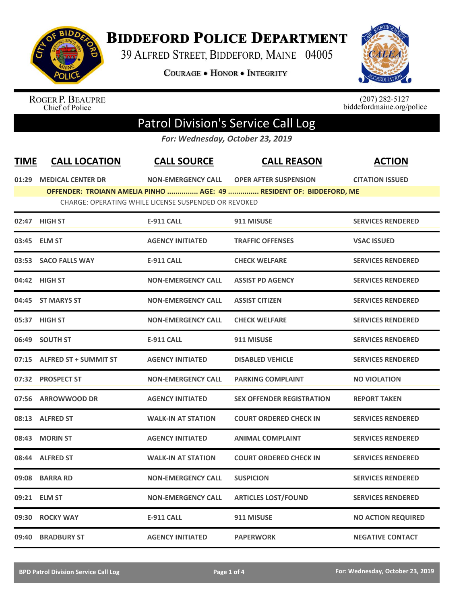

## **BIDDEFORD POLICE DEPARTMENT**

39 ALFRED STREET, BIDDEFORD, MAINE 04005

COURAGE . HONOR . INTEGRITY



ROGER P. BEAUPRE<br>Chief of Police

 $(207)$  282-5127<br>biddefordmaine.org/police

## Patrol Division's Service Call Log

*For: Wednesday, October 23, 2019*

| <b>TIME</b> | <b>CALL LOCATION</b>        | <b>CALL SOURCE</b>                                   | <b>CALL REASON</b>                                                  | <b>ACTION</b>             |
|-------------|-----------------------------|------------------------------------------------------|---------------------------------------------------------------------|---------------------------|
|             | 01:29 MEDICAL CENTER DR     |                                                      | NON-EMERGENCY CALL OPER AFTER SUSPENSION                            | <b>CITATION ISSUED</b>    |
|             |                             | CHARGE: OPERATING WHILE LICENSE SUSPENDED OR REVOKED | OFFENDER: TROIANN AMELIA PINHO  AGE: 49  RESIDENT OF: BIDDEFORD, ME |                           |
|             | 02:47 HIGH ST               | <b>E-911 CALL</b>                                    | 911 MISUSE                                                          | <b>SERVICES RENDERED</b>  |
|             | 03:45 ELM ST                | <b>AGENCY INITIATED</b>                              | <b>TRAFFIC OFFENSES</b>                                             | <b>VSAC ISSUED</b>        |
|             | 03:53 SACO FALLS WAY        | <b>E-911 CALL</b>                                    | <b>CHECK WELFARE</b>                                                | <b>SERVICES RENDERED</b>  |
|             | 04:42 HIGH ST               | <b>NON-EMERGENCY CALL</b>                            | <b>ASSIST PD AGENCY</b>                                             | <b>SERVICES RENDERED</b>  |
|             | 04:45 ST MARYS ST           | <b>NON-EMERGENCY CALL</b>                            | <b>ASSIST CITIZEN</b>                                               | <b>SERVICES RENDERED</b>  |
|             | 05:37 HIGH ST               | <b>NON-EMERGENCY CALL</b>                            | <b>CHECK WELFARE</b>                                                | <b>SERVICES RENDERED</b>  |
|             | 06:49 SOUTH ST              | <b>E-911 CALL</b>                                    | 911 MISUSE                                                          | <b>SERVICES RENDERED</b>  |
|             | 07:15 ALFRED ST + SUMMIT ST | <b>AGENCY INITIATED</b>                              | <b>DISABLED VEHICLE</b>                                             | <b>SERVICES RENDERED</b>  |
|             | 07:32 PROSPECT ST           | <b>NON-EMERGENCY CALL</b>                            | <b>PARKING COMPLAINT</b>                                            | <b>NO VIOLATION</b>       |
|             | 07:56 ARROWWOOD DR          | <b>AGENCY INITIATED</b>                              | <b>SEX OFFENDER REGISTRATION</b>                                    | <b>REPORT TAKEN</b>       |
|             | 08:13 ALFRED ST             | <b>WALK-IN AT STATION</b>                            | <b>COURT ORDERED CHECK IN</b>                                       | <b>SERVICES RENDERED</b>  |
| 08:43       | <b>MORIN ST</b>             | <b>AGENCY INITIATED</b>                              | <b>ANIMAL COMPLAINT</b>                                             | <b>SERVICES RENDERED</b>  |
|             | 08:44 ALFRED ST             | <b>WALK-IN AT STATION</b>                            | <b>COURT ORDERED CHECK IN</b>                                       | <b>SERVICES RENDERED</b>  |
|             | 09:08 BARRA RD              | <b>NON-EMERGENCY CALL</b>                            | <b>SUSPICION</b>                                                    | <b>SERVICES RENDERED</b>  |
|             | 09:21 ELM ST                | <b>NON-EMERGENCY CALL</b>                            | <b>ARTICLES LOST/FOUND</b>                                          | <b>SERVICES RENDERED</b>  |
| 09:30       | <b>ROCKY WAY</b>            | <b>E-911 CALL</b>                                    | 911 MISUSE                                                          | <b>NO ACTION REQUIRED</b> |
| 09:40       | <b>BRADBURY ST</b>          | <b>AGENCY INITIATED</b>                              | <b>PAPERWORK</b>                                                    | <b>NEGATIVE CONTACT</b>   |
|             |                             |                                                      |                                                                     |                           |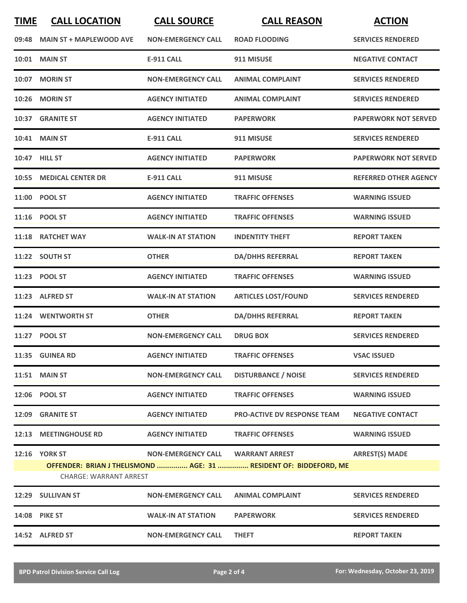| <b>TIME</b> | <b>CALL LOCATION</b>           | <b>CALL SOURCE</b>        | <b>CALL REASON</b>                                                | <b>ACTION</b>                |
|-------------|--------------------------------|---------------------------|-------------------------------------------------------------------|------------------------------|
| 09:48       | <b>MAIN ST + MAPLEWOOD AVE</b> | <b>NON-EMERGENCY CALL</b> | <b>ROAD FLOODING</b>                                              | <b>SERVICES RENDERED</b>     |
| 10:01       | <b>MAIN ST</b>                 | <b>E-911 CALL</b>         | 911 MISUSE                                                        | <b>NEGATIVE CONTACT</b>      |
| 10:07       | <b>MORIN ST</b>                | <b>NON-EMERGENCY CALL</b> | <b>ANIMAL COMPLAINT</b>                                           | <b>SERVICES RENDERED</b>     |
| 10:26       | <b>MORIN ST</b>                | <b>AGENCY INITIATED</b>   | <b>ANIMAL COMPLAINT</b>                                           | <b>SERVICES RENDERED</b>     |
|             | 10:37 GRANITE ST               | <b>AGENCY INITIATED</b>   | <b>PAPERWORK</b>                                                  | <b>PAPERWORK NOT SERVED</b>  |
|             | <b>10:41 MAIN ST</b>           | <b>E-911 CALL</b>         | 911 MISUSE                                                        | <b>SERVICES RENDERED</b>     |
|             | 10:47 HILL ST                  | <b>AGENCY INITIATED</b>   | <b>PAPERWORK</b>                                                  | <b>PAPERWORK NOT SERVED</b>  |
| 10:55       | <b>MEDICAL CENTER DR</b>       | <b>E-911 CALL</b>         | 911 MISUSE                                                        | <b>REFERRED OTHER AGENCY</b> |
|             | 11:00 POOL ST                  | <b>AGENCY INITIATED</b>   | <b>TRAFFIC OFFENSES</b>                                           | <b>WARNING ISSUED</b>        |
|             | 11:16 POOL ST                  | <b>AGENCY INITIATED</b>   | <b>TRAFFIC OFFENSES</b>                                           | <b>WARNING ISSUED</b>        |
|             | 11:18 RATCHET WAY              | <b>WALK-IN AT STATION</b> | <b>INDENTITY THEFT</b>                                            | <b>REPORT TAKEN</b>          |
|             | 11:22 SOUTH ST                 | <b>OTHER</b>              | <b>DA/DHHS REFERRAL</b>                                           | <b>REPORT TAKEN</b>          |
| 11:23       | <b>POOL ST</b>                 | <b>AGENCY INITIATED</b>   | <b>TRAFFIC OFFENSES</b>                                           | <b>WARNING ISSUED</b>        |
| 11:23       | <b>ALFRED ST</b>               | <b>WALK-IN AT STATION</b> | <b>ARTICLES LOST/FOUND</b>                                        | <b>SERVICES RENDERED</b>     |
|             | 11:24 WENTWORTH ST             | <b>OTHER</b>              | <b>DA/DHHS REFERRAL</b>                                           | <b>REPORT TAKEN</b>          |
|             | 11:27 POOL ST                  | <b>NON-EMERGENCY CALL</b> | <b>DRUG BOX</b>                                                   | <b>SERVICES RENDERED</b>     |
|             | 11:35 GUINEA RD                | <b>AGENCY INITIATED</b>   | <b>TRAFFIC OFFENSES</b>                                           | <b>VSAC ISSUED</b>           |
|             | <b>11:51 MAIN ST</b>           | <b>NON-EMERGENCY CALL</b> | <b>DISTURBANCE / NOISE</b>                                        | <b>SERVICES RENDERED</b>     |
|             | 12:06 POOL ST                  | <b>AGENCY INITIATED</b>   | <b>TRAFFIC OFFENSES</b>                                           | <b>WARNING ISSUED</b>        |
|             | 12:09 GRANITE ST               | <b>AGENCY INITIATED</b>   | <b>PRO-ACTIVE DV RESPONSE TEAM</b>                                | <b>NEGATIVE CONTACT</b>      |
|             | 12:13 MEETINGHOUSE RD          | <b>AGENCY INITIATED</b>   | <b>TRAFFIC OFFENSES</b>                                           | <b>WARNING ISSUED</b>        |
|             | <b>12:16 YORK ST</b>           | <b>NON-EMERGENCY CALL</b> | <b>WARRANT ARREST</b>                                             | <b>ARREST(S) MADE</b>        |
|             | <b>CHARGE: WARRANT ARREST</b>  |                           | OFFENDER: BRIAN J THELISMOND  AGE: 31  RESIDENT OF: BIDDEFORD, ME |                              |
|             | 12:29 SULLIVAN ST              | <b>NON-EMERGENCY CALL</b> | <b>ANIMAL COMPLAINT</b>                                           | <b>SERVICES RENDERED</b>     |
|             | 14:08 PIKE ST                  | <b>WALK-IN AT STATION</b> | <b>PAPERWORK</b>                                                  | <b>SERVICES RENDERED</b>     |
|             | 14:52 ALFRED ST                | <b>NON-EMERGENCY CALL</b> | <b>THEFT</b>                                                      | <b>REPORT TAKEN</b>          |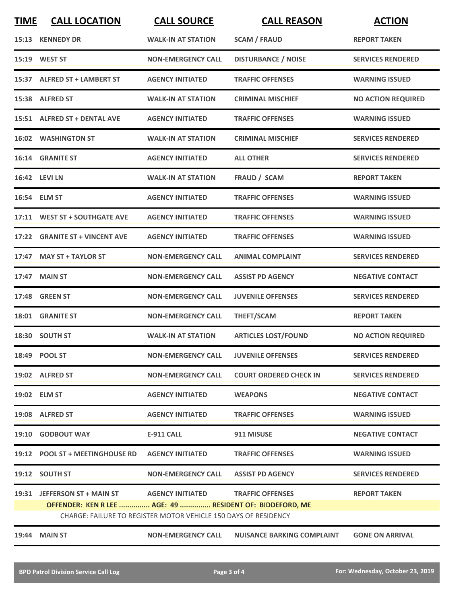| <b>TIME</b> | <b>CALL LOCATION</b>                                            | <b>CALL SOURCE</b>                | <b>CALL REASON</b>                | <b>ACTION</b>             |  |
|-------------|-----------------------------------------------------------------|-----------------------------------|-----------------------------------|---------------------------|--|
|             | 15:13 KENNEDY DR                                                | <b>WALK-IN AT STATION</b>         | <b>SCAM / FRAUD</b>               | <b>REPORT TAKEN</b>       |  |
|             | 15:19 WEST ST                                                   | <b>NON-EMERGENCY CALL</b>         | <b>DISTURBANCE / NOISE</b>        | <b>SERVICES RENDERED</b>  |  |
|             | 15:37 ALFRED ST + LAMBERT ST                                    | <b>AGENCY INITIATED</b>           | <b>TRAFFIC OFFENSES</b>           | <b>WARNING ISSUED</b>     |  |
|             | 15:38 ALFRED ST                                                 | <b>WALK-IN AT STATION</b>         | <b>CRIMINAL MISCHIEF</b>          | <b>NO ACTION REQUIRED</b> |  |
|             | 15:51 ALFRED ST + DENTAL AVE                                    | <b>AGENCY INITIATED</b>           | <b>TRAFFIC OFFENSES</b>           | <b>WARNING ISSUED</b>     |  |
|             | <b>16:02 WASHINGTON ST</b>                                      | <b>WALK-IN AT STATION</b>         | <b>CRIMINAL MISCHIEF</b>          | <b>SERVICES RENDERED</b>  |  |
|             | 16:14 GRANITE ST                                                | <b>AGENCY INITIATED</b>           | <b>ALL OTHER</b>                  | <b>SERVICES RENDERED</b>  |  |
|             | 16:42 LEVI LN                                                   | <b>WALK-IN AT STATION</b>         | FRAUD / SCAM                      | <b>REPORT TAKEN</b>       |  |
|             | 16:54 ELM ST                                                    | <b>AGENCY INITIATED</b>           | <b>TRAFFIC OFFENSES</b>           | <b>WARNING ISSUED</b>     |  |
|             | 17:11 WEST ST + SOUTHGATE AVE                                   | <b>AGENCY INITIATED</b>           | <b>TRAFFIC OFFENSES</b>           | <b>WARNING ISSUED</b>     |  |
|             | 17:22 GRANITE ST + VINCENT AVE                                  | <b>AGENCY INITIATED</b>           | <b>TRAFFIC OFFENSES</b>           | <b>WARNING ISSUED</b>     |  |
|             | 17:47 MAY ST + TAYLOR ST                                        | <b>NON-EMERGENCY CALL</b>         | <b>ANIMAL COMPLAINT</b>           | <b>SERVICES RENDERED</b>  |  |
| 17:47       | <b>MAIN ST</b>                                                  | <b>NON-EMERGENCY CALL</b>         | <b>ASSIST PD AGENCY</b>           | <b>NEGATIVE CONTACT</b>   |  |
| 17:48       | <b>GREEN ST</b>                                                 | <b>NON-EMERGENCY CALL</b>         | <b>JUVENILE OFFENSES</b>          | <b>SERVICES RENDERED</b>  |  |
| 18:01       | <b>GRANITE ST</b>                                               | <b>NON-EMERGENCY CALL</b>         | THEFT/SCAM                        | <b>REPORT TAKEN</b>       |  |
|             | 18:30 SOUTH ST                                                  | <b>WALK-IN AT STATION</b>         | <b>ARTICLES LOST/FOUND</b>        | <b>NO ACTION REQUIRED</b> |  |
|             | 18:49 POOL ST                                                   | <b>NON-EMERGENCY CALL</b>         | <b>JUVENILE OFFENSES</b>          | <b>SERVICES RENDERED</b>  |  |
|             | 19:02 ALFRED ST                                                 | <b>NON-EMERGENCY CALL</b>         | <b>COURT ORDERED CHECK IN</b>     | <b>SERVICES RENDERED</b>  |  |
|             | 19:02 ELM ST                                                    | <b>AGENCY INITIATED</b>           | <b>WEAPONS</b>                    | <b>NEGATIVE CONTACT</b>   |  |
|             | 19:08 ALFRED ST                                                 | <b>AGENCY INITIATED</b>           | <b>TRAFFIC OFFENSES</b>           | <b>WARNING ISSUED</b>     |  |
|             | 19:10 GODBOUT WAY                                               | <b>E-911 CALL</b>                 | 911 MISUSE                        | <b>NEGATIVE CONTACT</b>   |  |
|             | 19:12 POOL ST + MEETINGHOUSE RD                                 | <b>AGENCY INITIATED</b>           | <b>TRAFFIC OFFENSES</b>           | <b>WARNING ISSUED</b>     |  |
|             | 19:12 SOUTH ST                                                  | <b>NON-EMERGENCY CALL</b>         | <b>ASSIST PD AGENCY</b>           | <b>SERVICES RENDERED</b>  |  |
|             | 19:31 JEFFERSON ST + MAIN ST                                    | AGENCY INITIATED TRAFFIC OFFENSES |                                   | <b>REPORT TAKEN</b>       |  |
|             | OFFENDER: KEN R LEE  AGE: 49  RESIDENT OF: BIDDEFORD, ME        |                                   |                                   |                           |  |
|             | CHARGE: FAILURE TO REGISTER MOTOR VEHICLE 150 DAYS OF RESIDENCY |                                   |                                   |                           |  |
| 19:44       | <b>MAIN ST</b>                                                  | <b>NON-EMERGENCY CALL</b>         | <b>NUISANCE BARKING COMPLAINT</b> | <b>GONE ON ARRIVAL</b>    |  |